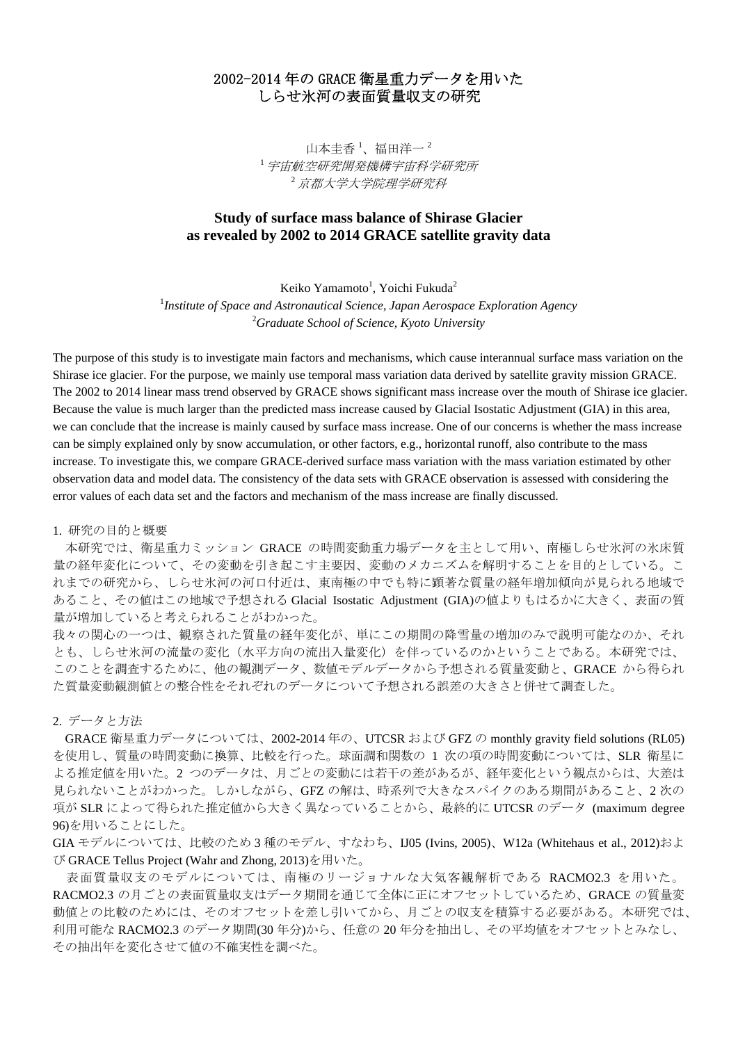## 2002-2014 年の GRACE 衛星重力データを用いた しらせ氷河の表面質量収支の研究

山本圭香<sup>1</sup>、福田洋一<sup>2</sup> <sup>1</sup>宇宙航空研究開発機構宇宙科学研究所 <sup>2</sup>京都大学大学院理学研究科

## **Study of surface mass balance of Shirase Glacier as revealed by 2002 to 2014 GRACE satellite gravity data**

Keiko Yamamoto<sup>1</sup>, Yoichi Fukuda<sup>2</sup>

<sup>1</sup> Institute of Space and Astronautical Science, Japan Aerospace Exploration Agency 2 *Graduate School of Science, Kyoto University*

The purpose of this study is to investigate main factors and mechanisms, which cause interannual surface mass variation on the Shirase ice glacier. For the purpose, we mainly use temporal mass variation data derived by satellite gravity mission GRACE. The 2002 to 2014 linear mass trend observed by GRACE shows significant mass increase over the mouth of Shirase ice glacier. Because the value is much larger than the predicted mass increase caused by Glacial Isostatic Adjustment (GIA) in this area, we can conclude that the increase is mainly caused by surface mass increase. One of our concerns is whether the mass increase can be simply explained only by snow accumulation, or other factors, e.g., horizontal runoff, also contribute to the mass increase. To investigate this, we compare GRACE-derived surface mass variation with the mass variation estimated by other observation data and model data. The consistency of the data sets with GRACE observation is assessed with considering the error values of each data set and the factors and mechanism of the mass increase are finally discussed.

1. 研究の目的と概要

 本研究では、衛星重力ミッション GRACE の時間変動重力場データを主として用い、南極しらせ氷河の氷床質 量の経年変化について、その変動を引き起こす主要因、変動のメカニズムを解明することを目的としている。こ れまでの研究から、しらせ氷河の河口付近は、東南極の中でも特に顕著な質量の経年増加傾向が見られる地域で あること、その値はこの地域で予想される Glacial Isostatic Adjustment (GIA)の値よりもはるかに大きく、表面の質 量が増加していると考えられることがわかった。

我々の関心の一つは、観察された質量の経年変化が、単にこの期間の降雪量の増加のみで説明可能なのか、それ とも、しらせ氷河の流量の変化(水平方向の流出入量変化)を伴っているのかということである。本研究では、 このことを調査するために、他の観測データ、数値モデルデータから予想される質量変動と、GRACE から得られ た質量変動観測値との整合性をそれぞれのデータについて予想される誤差の大きさと併せて調査した。

2. データと方法

GRACE 衛星重力データについては、2002-2014 年の、UTCSR および GFZ の monthly gravity field solutions (RL05) を使用し、質量の時間変動に換算、比較を行った。球面調和関数の 1 次の項の時間変動については、SLR 衛星に よる推定値を用いた。2 つのデータは、月ごとの変動には若干の差があるが、経年変化という観点からは、大差は 見られないことがわかった。しかしながら、GFZ の解は、時系列で大きなスパイクのある期間があること、2 次の 項が SLR によって得られた推定値から大きく異なっていることから、最終的に UTCSR のデータ (maximum degree 96)を用いることにした。

GIA モデルについては、比較のため 3 種のモデル、すなわち、IJ05 (Ivins, 2005)、W12a (Whitehaus et al., 2012)およ び GRACE Tellus Project (Wahr and Zhong, 2013)を用いた。

 表面質量収支のモデルについては、南極のリージョナルな大気客観解析である RACMO2.3 を用いた。 RACMO2.3 の月ごとの表面質量収支はデータ期間を通じて全体に正にオフセットしているため、GRACE の質量変 動値との比較のためには、そのオフセットを差し引いてから、月ごとの収支を積算する必要がある。本研究では、 利用可能な RACMO2.3 のデータ期間(30 年分)から、任意の 20 年分を抽出し、その平均値をオフセットとみなし、 その抽出年を変化させて値の不確実性を調べた。